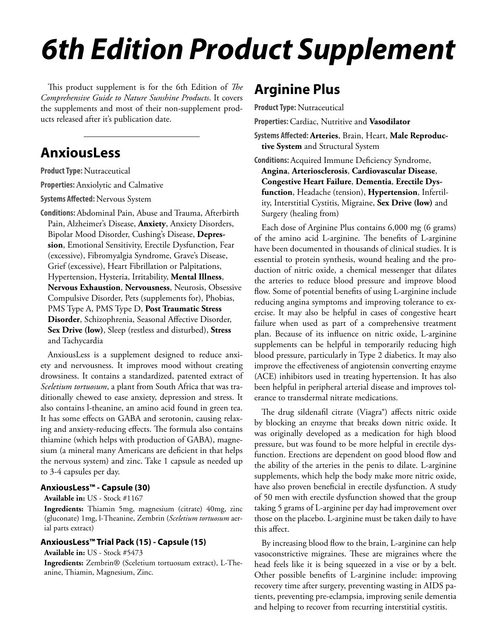# *6th Edition Product Supplement*

This product supplement is for the 6th Edition of *The Comprehensive Guide to Nature Sunshine Products*. It covers the supplements and most of their non-supplement products released after it's publication date.

### **AnxiousLess**

**Product Type:** Nutraceutical

**Properties:** Anxiolytic and Calmative

**Systems Affected:** Nervous System

**Conditions:** Abdominal Pain, Abuse and Trauma, Afterbirth Pain, Alzheimer's Disease, **Anxiety**, Anxiety Disorders, Bipolar Mood Disorder, Cushing's Disease, **Depression**, Emotional Sensitivity, Erectile Dysfunction, Fear (excessive), Fibromyalgia Syndrome, Grave's Disease, Grief (excessive), Heart Fibrillation or Palpitations, Hypertension, Hysteria, Irritability, **Mental Illness**, **Nervous Exhaustion**, **Nervousness**, Neurosis, Obsessive Compulsive Disorder, Pets (supplements for), Phobias, PMS Type A, PMS Type D, **Post Traumatic Stress Disorder**, Schizophrenia, Seasonal Affective Disorder, **Sex Drive (low)**, Sleep (restless and disturbed), **Stress** and Tachycardia

AnxiousLess is a supplement designed to reduce anxiety and nervousness. It improves mood without creating drowsiness. It contains a standardized, patented extract of *Sceletium tortuosum*, a plant from South Africa that was traditionally chewed to ease anxiety, depression and stress. It also contains l-theanine, an amino acid found in green tea. It has some effects on GABA and serotonin, causing relaxing and anxiety-reducing effects. The formula also contains thiamine (which helps with production of GABA), magnesium (a mineral many Americans are deficient in that helps the nervous system) and zinc. Take 1 capsule as needed up to 3-4 capsules per day.

#### **AnxiousLess™ - Capsule (30)**

**Available in:** US - Stock #1167

**Ingredients:** Thiamin 5mg, magnesium (citrate) 40mg, zinc (gluconate) 1mg, l-Theanine, Zembrin (*Sceletium tortuosum* aerial parts extract)

#### **AnxiousLess™ Trial Pack (15) - Capsule (15)**

**Available in:** US - Stock #5473

**Ingredients:** Zembrin® (Sceletium tortuosum extract), L-Theanine, Thiamin, Magnesium, Zinc.

### **Arginine Plus**

**Product Type:** Nutraceutical

- **Properties:** Cardiac, Nutritive and **Vasodilator**
- **Systems Affected: Arteries**, Brain, Heart, **Male Reproductive System** and Structural System

**Conditions:** Acquired Immune Deficiency Syndrome, **Angina**, **Arteriosclerosis**, **Cardiovascular Disease**, **Congestive Heart Failure**, **Dementia**, **Erectile Dysfunction**, Headache (tension), **Hypertension**, Infertility, Interstitial Cystitis, Migraine, **Sex Drive (low)** and Surgery (healing from)

Each dose of Arginine Plus contains 6,000 mg (6 grams) of the amino acid L-arginine. The benefits of L-arginine have been documented in thousands of clinical studies. It is essential to protein synthesis, wound healing and the production of nitric oxide, a chemical messenger that dilates the arteries to reduce blood pressure and improve blood flow. Some of potential benefits of using L-arginine include reducing angina symptoms and improving tolerance to exercise. It may also be helpful in cases of congestive heart failure when used as part of a comprehensive treatment plan. Because of its influence on nitric oxide, L-arginine supplements can be helpful in temporarily reducing high blood pressure, particularly in Type 2 diabetics. It may also improve the effectiveness of angiotensin converting enzyme (ACE) inhibitors used in treating hypertension. It has also been helpful in peripheral arterial disease and improves tolerance to transdermal nitrate medications.

The drug sildenafil citrate (Viagra®) affects nitric oxide by blocking an enzyme that breaks down nitric oxide. It was originally developed as a medication for high blood pressure, but was found to be more helpful in erectile dysfunction. Erections are dependent on good blood flow and the ability of the arteries in the penis to dilate. L-arginine supplements, which help the body make more nitric oxide, have also proven beneficial in erectile dysfunction. A study of 50 men with erectile dysfunction showed that the group taking 5 grams of L-arginine per day had improvement over those on the placebo. L-arginine must be taken daily to have this affect.

By increasing blood flow to the brain, L-arginine can help vasoconstrictive migraines. These are migraines where the head feels like it is being squeezed in a vise or by a belt. Other possible benefits of L-arginine include: improving recovery time after surgery, preventing wasting in AIDS patients, preventing pre-eclampsia, improving senile dementia and helping to recover from recurring interstitial cystitis.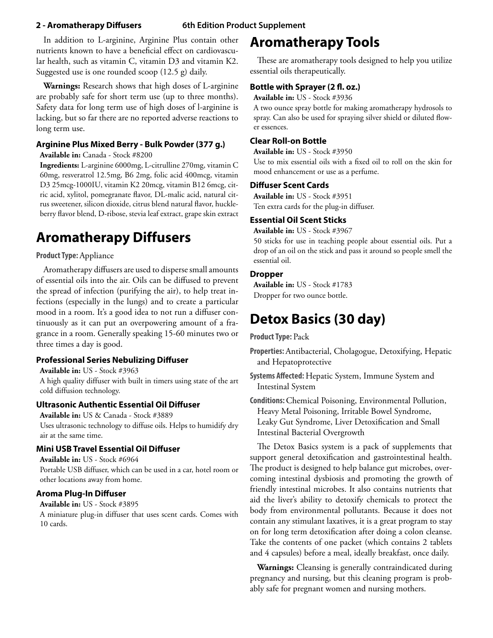In addition to L-arginine, Arginine Plus contain other nutrients known to have a beneficial effect on cardiovascular health, such as vitamin C, vitamin D3 and vitamin K2. Suggested use is one rounded scoop (12.5 g) daily.

**Warnings:** Research shows that high doses of L-arginine are probably safe for short term use (up to three months). Safety data for long term use of high doses of l-arginine is lacking, but so far there are no reported adverse reactions to long term use.

#### **Arginine Plus Mixed Berry - Bulk Powder (377 g.)**

**Available in:** Canada - Stock #8200

**Ingredients:** L-arginine 6000mg, L-citrulline 270mg, vitamin C 60mg, resveratrol 12.5mg, B6 2mg, folic acid 400mcg, vitamin D3 25mcg-1000IU, vitamin K2 20mcg, vitamin B12 6mcg, citric acid, xylitol, pomegranate flavor, DL-malic acid, natural citrus sweetener, silicon dioxide, citrus blend natural flavor, huckleberry flavor blend, D-ribose, stevia leaf extract, grape skin extract

### **Aromatherapy Diffusers**

### **Product Type:** Appliance

Aromatherapy diffusers are used to disperse small amounts of essential oils into the air. Oils can be diffused to prevent the spread of infection (purifying the air), to help treat infections (especially in the lungs) and to create a particular mood in a room. It's a good idea to not run a diffuser continuously as it can put an overpowering amount of a fragrance in a room. Generally speaking 15-60 minutes two or three times a day is good.

#### **Professional Series Nebulizing Diffuser**

**Available in:** US - Stock #3963

A high quality diffuser with built in timers using state of the art cold diffusion technology.

### **Ultrasonic Authentic Essential Oil Diffuser**

**Available in:** US & Canada - Stock #3889 Uses ultrasonic technology to diffuse oils. Helps to humidify dry air at the same time.

#### **Mini USB Travel Essential Oil Diffuser**

**Available in:** US - Stock #6964 Portable USB diffuser, which can be used in a car, hotel room or other locations away from home.

#### **Aroma Plug-In Diffuser**

**Available in:** US - Stock #3895

A miniature plug-in diffuser that uses scent cards. Comes with 10 cards.

### **Aromatherapy Tools**

These are aromatherapy tools designed to help you utilize essential oils therapeutically.

#### **Bottle with Sprayer (2 fl. oz.)**

**Available in:** US - Stock #3936

A two ounce spray bottle for making aromatherapy hydrosols to spray. Can also be used for spraying silver shield or diluted flower essences.

#### **Clear Roll-on Bottle**

**Available in:** US - Stock #3950

Use to mix essential oils with a fixed oil to roll on the skin for mood enhancement or use as a perfume.

#### **Diffuser Scent Cards**

**Available in:** US - Stock #3951

Ten extra cards for the plug-in diffuser.

#### **Essential Oil Scent Sticks**

**Available in:** US - Stock #3967

50 sticks for use in teaching people about essential oils. Put a drop of an oil on the stick and pass it around so people smell the essential oil.

#### **Dropper**

**Available in:** US - Stock #1783 Dropper for two ounce bottle.

### **Detox Basics (30 day)**

**Product Type:** Pack

**Properties:** Antibacterial, Cholagogue, Detoxifying, Hepatic and Hepatoprotective

**Systems Affected:** Hepatic System, Immune System and Intestinal System

**Conditions:** Chemical Poisoning, Environmental Pollution, Heavy Metal Poisoning, Irritable Bowel Syndrome, Leaky Gut Syndrome, Liver Detoxification and Small Intestinal Bacterial Overgrowth

The Detox Basics system is a pack of supplements that support general detoxification and gastrointestinal health. The product is designed to help balance gut microbes, overcoming intestinal dysbiosis and promoting the growth of friendly intestinal microbes. It also contains nutrients that aid the liver's ability to detoxify chemicals to protect the body from environmental pollutants. Because it does not contain any stimulant laxatives, it is a great program to stay on for long term detoxification after doing a colon cleanse. Take the contents of one packet (which contains 2 tablets and 4 capsules) before a meal, ideally breakfast, once daily.

**Warnings:** Cleansing is generally contraindicated during pregnancy and nursing, but this cleaning program is probably safe for pregnant women and nursing mothers.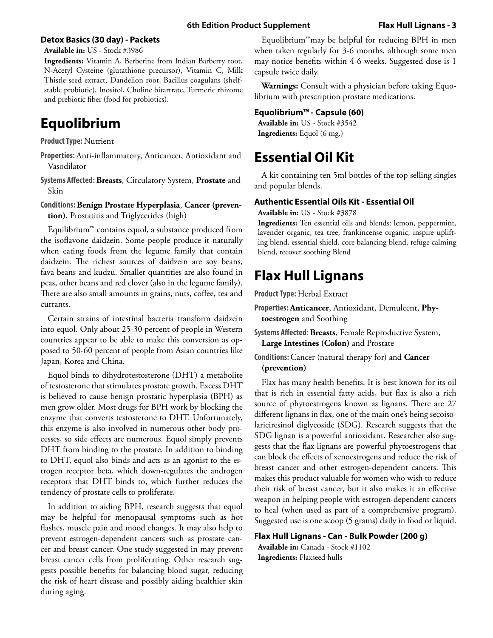#### **Detox Basics (30 day) - Packets**

**Available in:** US - Stock #3986

**Ingredients:** Vitamin A, Berberine from Indian Barberry root, N-Acetyl Cysteine (glutathione precursor), Vitamin C, Milk Thistle seed extract, Dandelion root, Bacillus coagulans (shelfstable probiotic), Inositol, Choline bitartrate, Turmeric rhizome and prebiotic fiber (food for probiotics).

### **Equolibrium**

**Product Type:** Nutrient

- **Properties:** Anti-inflammatory, Anticancer, Antioxidant and Vasodilator
- **Systems Affected: Breasts**, Circulatory System, **Prostate** and Skin
- **Conditions: Benign Prostate Hyperplasia**, **Cancer (prevention)**, Prostatitis and Triglycerides (high)

Equilibrium™ contains equol, a substance produced from the isoflavone daidzein. Some people produce it naturally when eating foods from the legume family that contain daidzein. The richest sources of daidzein are soy beans, fava beans and kudzu. Smaller quantities are also found in peas, other beans and red clover (also in the legume family). There are also small amounts in grains, nuts, coffee, tea and currants.

Certain strains of intestinal bacteria transform daidzein into equol. Only about 25-30 percent of people in Western countries appear to be able to make this conversion as opposed to 50-60 percent of people from Asian countries like Japan, Korea and China.

Equol binds to dihydrotestosterone (DHT) a metabolite of testosterone that stimulates prostate growth. Excess DHT is believed to cause benign prostatic hyperplasia (BPH) as men grow older. Most drugs for BPH work by blocking the enzyme that converts testosterone to DHT. Unfortunately, this enzyme is also involved in numerous other body processes, so side effects are numerous. Equol simply prevents DHT from binding to the prostate. In addition to binding to DHT, equol also binds and acts as an agonist to the estrogen receptor beta, which down-regulates the androgen receptors that DHT binds to, which further reduces the tendency of prostate cells to proliferate.

In addition to aiding BPH, research suggests that equol may be helpful for menopausal symptoms such as hot flashes, muscle pain and mood changes. It may also help to prevent estrogen-dependent cancers such as prostate cancer and breast cancer. One study suggested in may prevent breast cancer cells from proliferating. Other research suggests possible benefits for balancing blood sugar, reducing the risk of heart disease and possibly aiding healthier skin during aging.

Equolibrium™may be helpful for reducing BPH in men when taken regularly for 3-6 months, although some men may notice benefits within 4-6 weeks. Suggested dose is 1 capsule twice daily.

**Warnings:** Consult with a physician before taking Equolibrium with prescription prostate medications.

### **Equolibrium™ - Capsule (60)**

**Available in:** US - Stock #3542 **Ingredients:** Equol (6 mg.)

### **Essential Oil Kit**

A kit containing ten 5ml bottles of the top selling singles and popular blends.

### **Authentic Essential Oils Kit - Essential Oil**

**Available in:** US - Stock #3878

**Ingredients:** Ten essential oils and blends: lemon, peppermint, lavender organic, tea tree, frankincense organic, inspire uplifting blend, essential shield, core balancing blend, refuge calming blend, recover soothing Blend

### **Flax Hull Lignans**

**Product Type:** Herbal Extract

- **Properties: Anticancer**, Antioxidant, Demulcent, **Phytoestrogen** and Soothing
- **Systems Affected: Breasts**, Female Reproductive System, **Large Intestines (Colon)** and Prostate

**Conditions:** Cancer (natural therapy for) and **Cancer (prevention)**

Flax has many health benefits. It is best known for its oil that is rich in essential fatty acids, but flax is also a rich source of phytoestrogens known as lignans. There are 27 different lignans in flax, one of the main one's being secoisolariciresinol diglycoside (SDG). Research suggests that the SDG lignan is a powerful antioxidant. Researcher also suggests that the flax lignans are powerful phytoestrogens that can block the effects of xenoestrogens and reduce the risk of breast cancer and other estrogen-dependent cancers. This makes this product valuable for women who wish to reduce their risk of breast cancer, but it also makes it an effective weapon in helping people with estrogen-dependent cancers to heal (when used as part of a comprehensive program). Suggested use is one scoop (5 grams) daily in food or liquid.

### **Flax Hull Lignans - Can - Bulk Powder (200 g)**

**Available in:** Canada - Stock #1102 **Ingredients:** Flaxseed hulls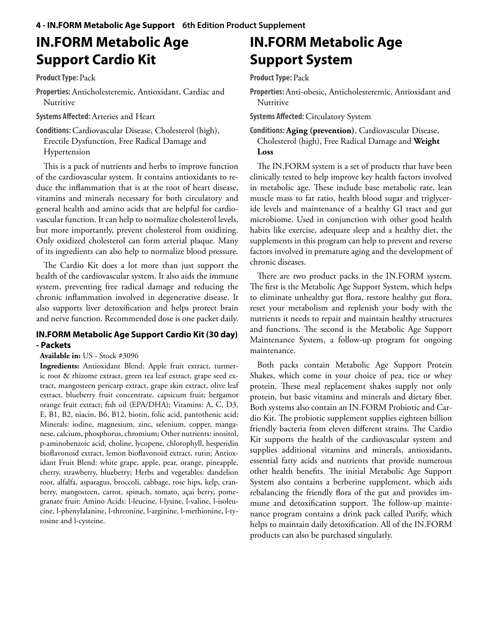### **IN.FORM Metabolic Age Support Cardio Kit**

**Product Type:** Pack

**Properties:** Anticholesteremic, Antioxidant, Cardiac and Nutritive

**Systems Affected:** Arteries and Heart

**Conditions:** Cardiovascular Disease, Cholesterol (high), Erectile Dysfunction, Free Radical Damage and Hypertension

This is a pack of nutrients and herbs to improve function of the cardiovascular system. It contains antioxidants to reduce the inflammation that is at the root of heart disease, vitamins and minerals necessary for both circulatory and general health and amino acids that are helpful for cardiovascular function. It can help to normalize cholesterol levels, but more importantly, prevent cholesterol from oxidizing. Only oxidized cholesterol can form arterial plaque. Many of its ingredients can also help to normalize blood pressure.

The Cardio Kit does a lot more than just support the health of the cardiovascular system. It also aids the immune system, preventing free radical damage and reducing the chronic inflammation involved in degenerative disease. It also supports liver detoxification and helps protect brain and nerve function. Recommended dose is one packet daily.

### **IN.FORM Metabolic Age Support Cardio Kit (30 day) - Packets**

#### **Available in:** US - Stock #3096

**Ingredients:** Antioxidant Blend: Apple fruit extract, turmeric root & rhizome extract, green tea leaf extract, grape seed extract, mangosteen pericarp extract, grape skin extract, olive leaf extract, blueberry fruit concentrate, capsicum fruit; bergamot orange fruit extract; fish oil (EPA/DHA); Vitamins: A, C, D3, E, B1, B2, niacin, B6, B12, biotin, folic acid, pantothenic acid; Minerals: iodine, magnesium, zinc, selenium, copper, manganese, calcium, phosphorus, chromium; Other nutrients: inositol, p-aminobenzoic acid, choline, lycopene, chlorophyll, hesperidin bioflavonoid extract, lemon bioflavonoid extract, rutin; Antioxidant Fruit Blend: white grape, apple, pear, orange, pineapple, cherry, strawberry, blueberry; Herbs and vegetables: dandelion root, alfalfa, asparagus, broccoli, cabbage, rose hips, kelp, cranberry, mangosteen, carrot, spinach, tomato, açai berry, pomegranate fruit: Amino Acids: l-leucine, l-lysine, l-valine, l-isoleucine, l-phenylalanine, l-threonine, l-arginine, l-methionine, l-tyrosine and l-cysteine.

### **IN.FORM Metabolic Age Support System**

### **Product Type:** Pack

**Properties:** Anti-obesic, Anticholesteremic, Antioxidant and Nutritive

**Systems Affected:** Circulatory System

### **Conditions: Aging (prevention)**, Cardiovascular Disease, Cholesterol (high), Free Radical Damage and **Weight Loss**

The IN.FORM system is a set of products that have been clinically tested to help improve key health factors involved in metabolic age. These include base metabolic rate, lean muscle mass to fat ratio, health blood sugar and triglyceride levels and maintenance of a healthy GI tract and gut microbiome. Used in conjunction with other good health habits like exercise, adequate sleep and a healthy diet, the supplements in this program can help to prevent and reverse factors involved in premature aging and the development of chronic diseases.

There are two product packs in the IN.FORM system. The first is the Metabolic Age Support System, which helps to eliminate unhealthy gut flora, restore healthy gut flora, reset your metabolism and replenish your body with the nutrients it needs to repair and maintain healthy structures and functions. The second is the Metabolic Age Support Maintenance System, a follow-up program for ongoing maintenance.

Both packs contain Metabolic Age Support Protein Shakes, which come in your choice of pea, rice or whey protein. These meal replacement shakes supply not only protein, but basic vitamins and minerals and dietary fiber. Both systems also contain an IN.FORM Probiotic and Cardio Kit. The probiotic supplement supplies eighteen billion friendly bacteria from eleven different strains. The Cardio Kit supports the health of the cardiovascular system and supplies additional vitamins and minerals, antioxidants, essential fatty acids and nutrients that provide numerous other health benefits. The initial Metabolic Age Support System also contains a berberine supplement, which aids rebalancing the friendly flora of the gut and provides immune and detoxification support. The follow-up maintenance program contains a drink pack called Purify, which helps to maintain daily detoxification. All of the IN.FORM products can also be purchased singularly.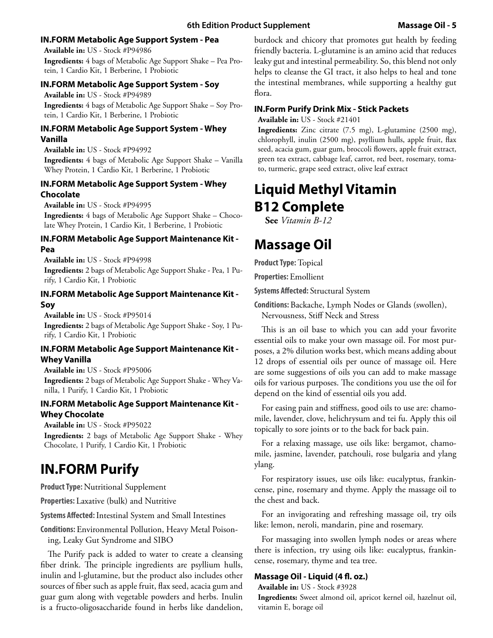#### **IN.FORM Metabolic Age Support System - Pea**

**Available in:** US - Stock #P94986 **Ingredients:** 4 bags of Metabolic Age Support Shake – Pea Protein, 1 Cardio Kit, 1 Berberine, 1 Probiotic

#### **IN.FORM Metabolic Age Support System - Soy**

**Available in:** US - Stock #P94989 **Ingredients:** 4 bags of Metabolic Age Support Shake – Soy Protein, 1 Cardio Kit, 1 Berberine, 1 Probiotic

### **IN.FORM Metabolic Age Support System - Whey Vanilla**

**Available in:** US - Stock #P94992 **Ingredients:** 4 bags of Metabolic Age Support Shake – Vanilla Whey Protein, 1 Cardio Kit, 1 Berberine, 1 Probiotic

### **IN.FORM Metabolic Age Support System - Whey Chocolate**

**Available in:** US - Stock #P94995

**Ingredients:** 4 bags of Metabolic Age Support Shake – Chocolate Whey Protein, 1 Cardio Kit, 1 Berberine, 1 Probiotic

#### **IN.FORM Metabolic Age Support Maintenance Kit - Pea**

**Available in:** US - Stock #P94998

**Ingredients:** 2 bags of Metabolic Age Support Shake - Pea, 1 Purify, 1 Cardio Kit, 1 Probiotic

### **IN.FORM Metabolic Age Support Maintenance Kit - Soy**

**Available in:** US - Stock #P95014

**Ingredients:** 2 bags of Metabolic Age Support Shake - Soy, 1 Purify, 1 Cardio Kit, 1 Probiotic

#### **IN.FORM Metabolic Age Support Maintenance Kit - Whey Vanilla**

**Available in:** US - Stock #P95006 **Ingredients:** 2 bags of Metabolic Age Support Shake - Whey Vanilla, 1 Purify, 1 Cardio Kit, 1 Probiotic

#### **IN.FORM Metabolic Age Support Maintenance Kit - Whey Chocolate**

**Available in:** US - Stock #P95022

**Ingredients:** 2 bags of Metabolic Age Support Shake - Whey Chocolate, 1 Purify, 1 Cardio Kit, 1 Probiotic

### **IN.FORM Purify**

**Product Type:** Nutritional Supplement

**Properties:** Laxative (bulk) and Nutritive

**Systems Affected:** Intestinal System and Small Intestines

**Conditions:** Environmental Pollution, Heavy Metal Poisoning, Leaky Gut Syndrome and SIBO

The Purify pack is added to water to create a cleansing fiber drink. The principle ingredients are psyllium hulls, inulin and l-glutamine, but the product also includes other sources of fiber such as apple fruit, flax seed, acacia gum and guar gum along with vegetable powders and herbs. Inulin is a fructo-oligosaccharide found in herbs like dandelion, burdock and chicory that promotes gut health by feeding friendly bacteria. L-glutamine is an amino acid that reduces leaky gut and intestinal permeability. So, this blend not only helps to cleanse the GI tract, it also helps to heal and tone the intestinal membranes, while supporting a healthy gut flora.

### **IN.Form Purify Drink Mix - Stick Packets**

**Available in:** US - Stock #21401

**Ingredients:** Zinc citrate (7.5 mg), L-glutamine (2500 mg), chlorophyll, inulin (2500 mg), psyllium hulls, apple fruit, flax seed, acacia gum, guar gum, broccoli flowers, apple fruit extract, green tea extract, cabbage leaf, carrot, red beet, rosemary, tomato, turmeric, grape seed extract, olive leaf extract

### **Liquid Methyl Vitamin B12 Complete**

**See** *Vitamin B-12*

### **Massage Oil**

**Product Type:** Topical

**Properties:** Emollient

**Systems Affected:** Structural System

**Conditions:** Backache, Lymph Nodes or Glands (swollen), Nervousness, Stiff Neck and Stress

This is an oil base to which you can add your favorite essential oils to make your own massage oil. For most purposes, a 2% dilution works best, which means adding about 12 drops of essential oils per ounce of massage oil. Here are some suggestions of oils you can add to make massage oils for various purposes. The conditions you use the oil for depend on the kind of essential oils you add.

For easing pain and stiffness, good oils to use are: chamomile, lavender, clove, helichrysum and tei fu. Apply this oil topically to sore joints or to the back for back pain.

For a relaxing massage, use oils like: bergamot, chamomile, jasmine, lavender, patchouli, rose bulgaria and ylang ylang.

For respiratory issues, use oils like: eucalyptus, frankincense, pine, rosemary and thyme. Apply the massage oil to the chest and back.

For an invigorating and refreshing massage oil, try oils like: lemon, neroli, mandarin, pine and rosemary.

For massaging into swollen lymph nodes or areas where there is infection, try using oils like: eucalyptus, frankincense, rosemary, thyme and tea tree.

### **Massage Oil - Liquid (4 fl. oz.)**

**Available in:** US - Stock #3928

**Ingredients:** Sweet almond oil, apricot kernel oil, hazelnut oil, vitamin E, borage oil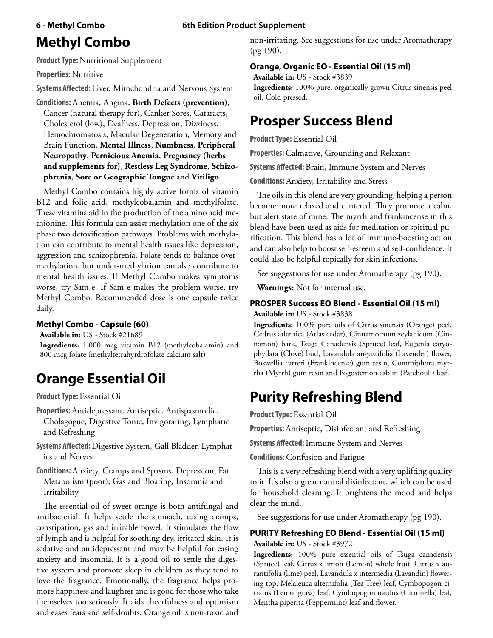### **Methyl Combo**

**Product Type:** Nutritional Supplement

**Properties:** Nutritive

**Systems Affected:** Liver, Mitochondria and Nervous System

**Conditions:** Anemia, Angina, **Birth Defects (prevention)**, Cancer (natural therapy for), Canker Sores, Cataracts, Cholesterol (low), Deafness, Depression, Dizziness, Hemochromatosis, Macular Degeneration, Memory and Brain Function, **Mental Illness**, **Numbness**, **Peripheral Neuropathy**, **Pernicious Anemia**, **Pregnancy (herbs and supplements for)**, **Restless Leg Syndrome**, **Schizophrenia**, **Sore or Geographic Tongue** and **Vitiligo**

Methyl Combo contains highly active forms of vitamin B12 and folic acid, methylcobalamin and methylfolate. These vitamins aid in the production of the amino acid methionine. This formula can assist methylation one of the six phase two detoxification pathways. Problems with methylation can contribute to mental health issues like depression, aggression and schizophrenia. Folate tends to balance overmethylation, but under-methylation can also contribute to mental health issues. If Methyl Combo makes symptoms worse, try Sam-e. If Sam-e makes the problem worse, try Methyl Combo. Recommended dose is one capsule twice daily.

### **Methyl Combo - Capsule (60)**

**Available in:** US - Stock #21689

**Ingredients:** 1,000 mcg vitamin B12 (methylcobalamin) and 800 mcg folate (methyltetrahyrdrofolate calcium salt)

### **Orange Essential Oil**

**Product Type:** Essential Oil

- **Properties:** Antidepressant, Antiseptic, Antispasmodic, Cholagogue, Digestive Tonic, Invigorating, Lymphatic and Refreshing
- **Systems Affected:** Digestive System, Gall Bladder, Lymphatics and Nerves
- **Conditions:** Anxiety, Cramps and Spasms, Depression, Fat Metabolism (poor), Gas and Bloating, Insomnia and Irritability

The essential oil of sweet orange is both antifungal and antibacterial. It helps settle the stomach, easing cramps, constipation, gas and irritable bowel. It stimulates the flow of lymph and is helpful for soothing dry, irritated skin. It is sedative and antidepressant and may be helpful for easing anxiety and insomnia. It is a good oil to settle the digestive system and promote sleep in children as they tend to love the fragrance. Emotionally, the fragrance helps promote happiness and laughter and is good for those who take themselves too seriously. It aids cheerfulness and optimism and eases fears and self-doubts. Orange oil is non-toxic and

non-irritating. See suggestions for use under Aromatherapy (pg 190).

### **Orange, Organic EO - Essential Oil (15 ml)**

**Available in:** US - Stock #3839 **Ingredients:** 100% pure, organically grown Citrus sinensis peel oil. Cold pressed.

### **Prosper Success Blend**

**Product Type:** Essential Oil

**Properties:** Calmative, Grounding and Relaxant

**Systems Affected:** Brain, Immune System and Nerves

**Conditions:** Anxiety, Irritability and Stress

The oils in this blend are very grounding, helping a person become more relaxed and centered. They promote a calm, but alert state of mine. The myrrh and frankincense in this blend have been used as aids for meditation or spiritual purification. This blend has a lot of immune-boosting action and can also help to boost self-esteem and self-confidence. It could also be helpful topically for skin infections.

See suggestions for use under Aromatherapy (pg 190).

**Warnings:** Not for internal use.

### **PROSPER Success EO Blend - Essential Oil (15 ml)**

**Available in:** US - Stock #3838

**Ingredients:** 100% pure oils of Citrus sinensis (Orange) peel, Cedrus atlantica (Atlas cedar), Cinnamomum zeylanicum (Cinnamon) bark, Tsuga Canadensis (Spruce) leaf, Eugenia caryophyllata (Clove) bud, Lavandula angustifolia (Lavender) flower, Boswellia carteri (Frankincense) gum resin, Commiphora myrrha (Myrrh) gum resin and Pogostemon cablin (Patchouli) leaf.

## **Purity Refreshing Blend**

**Product Type:** Essential Oil

**Properties:** Antiseptic, Disinfectant and Refreshing

**Systems Affected:** Immune System and Nerves

**Conditions:** Confusion and Fatigue

This is a very refreshing blend with a very uplifting quality to it. It's also a great natural disinfectant, which can be used for household cleaning. It brightens the mood and helps clear the mind.

See suggestions for use under Aromatherapy (pg 190).

### **PURITY Refreshing EO Blend - Essential Oil (15 ml)**

**Available in:** US - Stock #3972

**Ingredients:** 100% pure essential oils of Tsuga canadensis (Spruce) leaf, Citrus x limon (Lemon) whole fruit, Citrus x aurantifolia (lime) peel, Lavandula x intermedia (Lavandin) flowering top, Melaleuca alternifolia (Tea Tree) leaf, Cymbopogon citratus (Lemongrass) leaf, Cymbopogon nardus (Citronella) leaf, Mentha piperita (Peppermint) leaf and flower.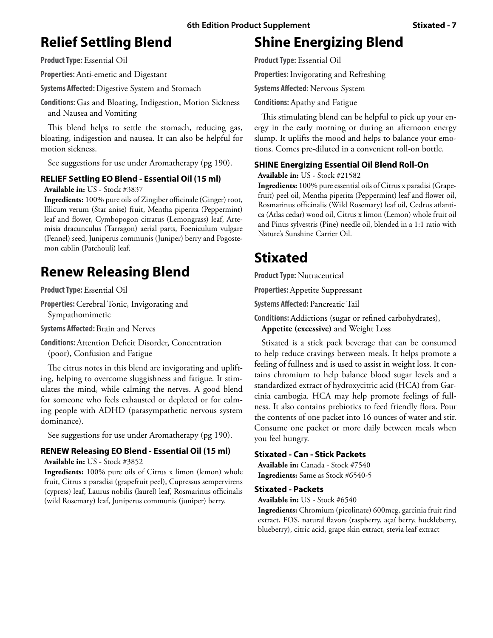### **Relief Settling Blend**

**Product Type:** Essential Oil

**Properties:** Anti-emetic and Digestant

**Systems Affected:** Digestive System and Stomach

**Conditions:** Gas and Bloating, Indigestion, Motion Sickness and Nausea and Vomiting

This blend helps to settle the stomach, reducing gas, bloating, indigestion and nausea. It can also be helpful for motion sickness.

See suggestions for use under Aromatherapy (pg 190).

### **RELIEF Settling EO Blend - Essential Oil (15 ml)**

#### **Available in:** US - Stock #3837

**Ingredients:** 100% pure oils of Zingiber officinale (Ginger) root, Illicum verum (Star anise) fruit, Mentha piperita (Peppermint) leaf and flower, Cymbopogon citratus (Lemongrass) leaf, Artemisia dracunculus (Tarragon) aerial parts, Foeniculum vulgare (Fennel) seed, Juniperus communis (Juniper) berry and Pogostemon cablin (Patchouli) leaf.

### **Renew Releasing Blend**

**Product Type:** Essential Oil

**Properties:** Cerebral Tonic, Invigorating and Sympathomimetic

**Systems Affected:** Brain and Nerves

**Conditions:** Attention Deficit Disorder, Concentration (poor), Confusion and Fatigue

The citrus notes in this blend are invigorating and uplifting, helping to overcome sluggishness and fatigue. It stimulates the mind, while calming the nerves. A good blend for someone who feels exhausted or depleted or for calming people with ADHD (parasympathetic nervous system dominance).

See suggestions for use under Aromatherapy (pg 190).

### **RENEW Releasing EO Blend - Essential Oil (15 ml)**

**Available in:** US - Stock #3852

**Ingredients:** 100% pure oils of Citrus x limon (lemon) whole fruit, Citrus x paradisi (grapefruit peel), Cupressus sempervirens (cypress) leaf, Laurus nobilis (laurel) leaf, Rosmarinus officinalis (wild Rosemary) leaf, Juniperus communis (juniper) berry.

### **Shine Energizing Blend**

**Product Type:** Essential Oil

**Properties:** Invigorating and Refreshing

**Systems Affected:** Nervous System

**Conditions:** Apathy and Fatigue

This stimulating blend can be helpful to pick up your energy in the early morning or during an afternoon energy slump. It uplifts the mood and helps to balance your emotions. Comes pre-diluted in a convenient roll-on bottle.

### **SHINE Energizing Essential Oil Blend Roll-On**

**Available in:** US - Stock #21582

**Ingredients:** 100% pure essential oils of Citrus x paradisi (Grapefruit) peel oil, Mentha piperita (Peppermint) leaf and flower oil, Rosmarinus officinalis (Wild Rosemary) leaf oil, Cedrus atlantica (Atlas cedar) wood oil, Citrus x limon (Lemon) whole fruit oil and Pinus sylvestris (Pine) needle oil, blended in a 1:1 ratio with Nature's Sunshine Carrier Oil.

### **Stixated**

**Product Type:** Nutraceutical

**Properties:** Appetite Suppressant

**Systems Affected:** Pancreatic Tail

**Conditions:** Addictions (sugar or refined carbohydrates), **Appetite (excessive)** and Weight Loss

Stixated is a stick pack beverage that can be consumed to help reduce cravings between meals. It helps promote a feeling of fullness and is used to assist in weight loss. It contains chromium to help balance blood sugar levels and a standardized extract of hydroxycitric acid (HCA) from Garcinia cambogia. HCA may help promote feelings of fullness. It also contains prebiotics to feed friendly flora. Pour the contents of one packet into 16 ounces of water and stir. Consume one packet or more daily between meals when you feel hungry.

#### **Stixated - Can - Stick Packets**

**Available in:** Canada - Stock #7540 **Ingredients:** Same as Stock #6540-5

#### **Stixated - Packets**

**Available in:** US - Stock #6540

**Ingredients:** Chromium (picolinate) 600mcg, garcinia fruit rind extract, FOS, natural flavors (raspberry, açaí berry, huckleberry, blueberry), citric acid, grape skin extract, stevia leaf extract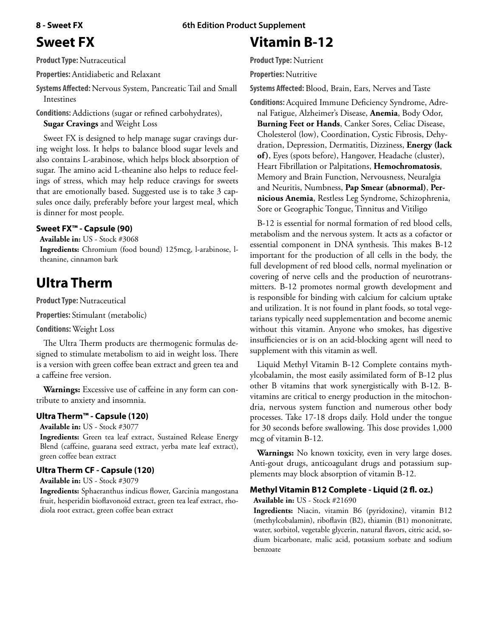### **Sweet FX**

**Product Type:** Nutraceutical

**Properties:** Antidiabetic and Relaxant

**Systems Affected:** Nervous System, Pancreatic Tail and Small Intestines

**Conditions:** Addictions (sugar or refined carbohydrates),

**Sugar Cravings** and Weight Loss

Sweet FX is designed to help manage sugar cravings during weight loss. It helps to balance blood sugar levels and also contains L-arabinose, which helps block absorption of sugar. The amino acid L-theanine also helps to reduce feelings of stress, which may help reduce cravings for sweets that are emotionally based. Suggested use is to take 3 capsules once daily, preferably before your largest meal, which is dinner for most people.

### **Sweet FX™ - Capsule (90)**

**Available in:** US - Stock #3068

**Ingredients:** Chromium (food bound) 125mcg, l-arabinose, ltheanine, cinnamon bark

### **Ultra Therm**

**Product Type:** Nutraceutical

**Properties:** Stimulant (metabolic)

#### **Conditions:** Weight Loss

The Ultra Therm products are thermogenic formulas designed to stimulate metabolism to aid in weight loss. There is a version with green coffee bean extract and green tea and a caffeine free version.

**Warnings:** Excessive use of caffeine in any form can contribute to anxiety and insomnia.

### **Ultra Therm™ - Capsule (120)**

**Available in:** US - Stock #3077

**Ingredients:** Green tea leaf extract, Sustained Release Energy Blend (caffeine, guarana seed extract, yerba mate leaf extract), green coffee bean extract

### **Ultra Therm CF - Capsule (120)**

**Available in:** US - Stock #3079

**Ingredients:** Sphaeranthus indicus flower, Garcinia mangostana fruit, hesperidin bioflavonoid extract, green tea leaf extract, rhodiola root extract, green coffee bean extract

### **Vitamin B-12**

**Product Type:** Nutrient

**Properties:** Nutritive

**Systems Affected:** Blood, Brain, Ears, Nerves and Taste

**Conditions:** Acquired Immune Deficiency Syndrome, Adrenal Fatigue, Alzheimer's Disease, **Anemia**, Body Odor, **Burning Feet or Hands**, Canker Sores, Celiac Disease, Cholesterol (low), Coordination, Cystic Fibrosis, Dehydration, Depression, Dermatitis, Dizziness, **Energy (lack of)**, Eyes (spots before), Hangover, Headache (cluster), Heart Fibrillation or Palpitations, **Hemochromatosis**, Memory and Brain Function, Nervousness, Neuralgia and Neuritis, Numbness, **Pap Smear (abnormal)**, **Pernicious Anemia**, Restless Leg Syndrome, Schizophrenia, Sore or Geographic Tongue, Tinnitus and Vitiligo

B-12 is essential for normal formation of red blood cells, metabolism and the nervous system. It acts as a cofactor or essential component in DNA synthesis. This makes B-12 important for the production of all cells in the body, the full development of red blood cells, normal myelination or covering of nerve cells and the production of neurotransmitters. B-12 promotes normal growth development and is responsible for binding with calcium for calcium uptake and utilization. It is not found in plant foods, so total vegetarians typically need supplementation and become anemic without this vitamin. Anyone who smokes, has digestive insufficiencies or is on an acid-blocking agent will need to supplement with this vitamin as well.

Liquid Methyl Vitamin B-12 Complete contains mythylcobalamin, the most easily assimilated form of B-12 plus other B vitamins that work synergistically with B-12. Bvitamins are critical to energy production in the mitochondria, nervous system function and numerous other body processes. Take 17-18 drops daily. Hold under the tongue for 30 seconds before swallowing. This dose provides 1,000 mcg of vitamin B-12.

**Warnings:** No known toxicity, even in very large doses. Anti-gout drugs, anticoagulant drugs and potassium supplements may block absorption of vitamin B-12.

### **Methyl Vitamin B12 Complete - Liquid (2 fl. oz.)**

**Available in:** US - Stock #21690

**Ingredients:** Niacin, vitamin B6 (pyridoxine), vitamin B12 (methylcobalamin), riboflavin (B2), thiamin (B1) mononitrate, water, sorbitol, vegetable glycerin, natural flavors, citric acid, sodium bicarbonate, malic acid, potassium sorbate and sodium benzoate